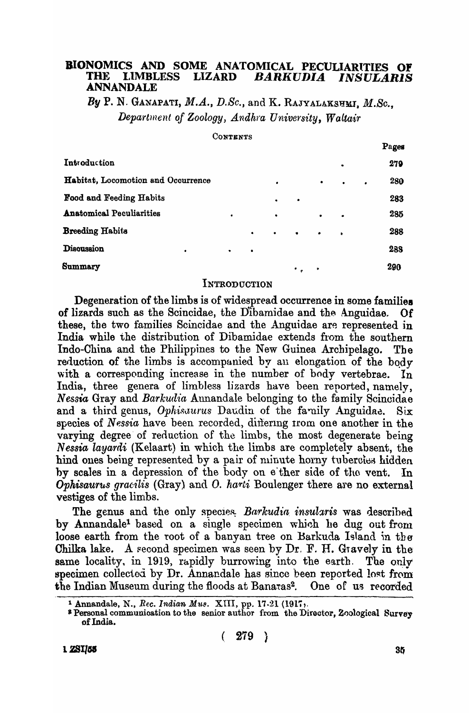#### BIONOMICS AND SOME ANATOMICAL PECULIARITIES OF **THE LIMBLESS LIZARD** BARKUDIA *INSULARIS* **ANNANDALE**

By P. N. GANAPATI,  $M.A., D.Sc.,$  and K. RAJYALAKSHMI,  $M.Sc.,$ Department of Zoology, Andhra University, Waltair

CONTENTS

|                                    |           |           |           |           |     |              |   | Pages |
|------------------------------------|-----------|-----------|-----------|-----------|-----|--------------|---|-------|
| Introduction                       |           |           | ٠         |           | 279 |              |   |       |
| Habitat, Locomotion and Occurrence |           |           | $\bullet$ |           | ٠   | $\bullet$    | ٠ | 280   |
| <b>Food and Feeding Habits</b>     |           |           | $\bullet$ | ٠         |     |              |   | 283   |
| <b>Anatomical Peculiarities</b>    | $\bullet$ |           | $\bullet$ |           | ٠   | $\bullet$    |   | 285   |
| <b>Breeding Habits</b>             |           | $\bullet$ | $\bullet$ | $\bullet$ | ٠   | $\mathbf{r}$ |   | 288   |
| Discussion<br>$\bullet$            | $\bullet$ | $\bullet$ |           |           |     |              |   | 288   |
| Summary                            |           |           |           | $\cdot$ . | ٠   |              |   | 290   |

### INTRODUCTION

Degeneration of the limbs is of widespread occurrence in some families of lizards such as the Scincidae, the Dibamidae and the Anguidae. **Of** these, the two families Scincidae and the Anguidae are represented in India while the distribution of Dibamidae extends from the southern Indo-China and the Philippines to the New Guinea Archipelago. The reduction of the limbs is accompanied by an elongation of the body with a corresponding increase in the number of body vertebrae.  $\ln$ India, three genera of limbless lizards have been reported, namely, Nessia Gray and Barkudia Annandale belonging to the family Scincidae and a third genus, Ophisaurus Daudin of the family Anguidae.  $\rm\,Si\,x$ species of Nessia have been recorded, differing from one another in the varying degree of reduction of the limbs, the most degenerate being Nessia layardi (Kelaart) in which the limbs are completely absent, the hind ones being represented by a pair of minute horny tubercles hidden by scales in a depression of the body on e ther side of the vent. In Ophisaurus gracilis (Gray) and O. harti Boulenger there are no external vestiges of the limbs.

The genus and the only species. Barkudia insularis was described by Annandale<sup>1</sup> based on a single specimen which he dug out from loose earth from the root of a banyan tree on Barkuda Island in the Chilka lake. A second specimen was seen by  $Dr. F. H.$  Gravely in the same locality, in 1919, rapidly burrowing into the earth. The only specimen collected by Dr. Annandale has since been reported lost from the Indian Museum during the floods at Banaras<sup>2</sup>. One of us recorded

<sup>&</sup>lt;sup>1</sup> Annandale, N., *Rec. Indian Mus.* XIII, pp. 17-21 (1917, Pressonal communication to the senior author from the Director, Zoological Survey of India.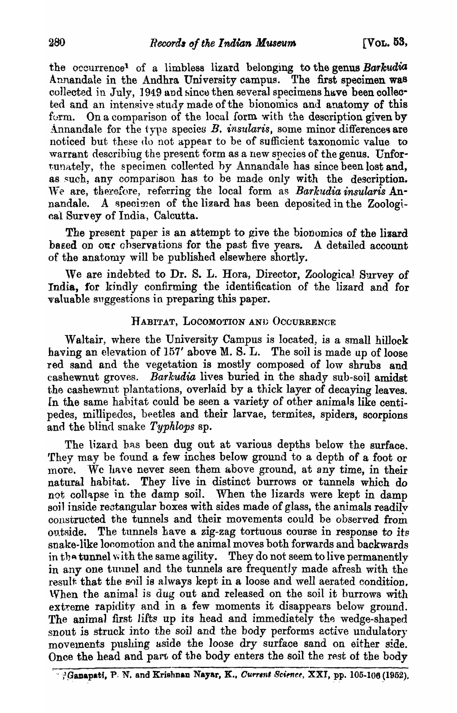the occurrence<sup>1</sup> of a limbless lizard belonging to the genus *Barkudia* Annandale in the Andhra University campus. The first specimen was collected in July, 1949 and since then several specimens have been collected and an intensive study made of the bionomics and anatomy of this form. On a comparison of the local form with the description given by Annandale for the type species  $B$ . *insularis*, some minor differences are noticed but these do not appear to be of sufficient taxonomic value to warrant describing the present form as a new species of the genus. Unfortunately, the specimen collected by Annandale has since been lost and, as such, any comparison has to be made only with the description. We are, therefore, referring the local form as *Barkudia insularis* Annandale. A specimen of the lizard has been deposited in the Zoological Survey of India, Calcutta.

The present paper is an attempt to give the bionomics of the lizard based on our observations for the past five years. A detailed account of the anatomy will be published elsewhere shortly.

We are indebted to Dr. S. L. Hora, Director, Zoological Survey of India, for kindly confirming the identification of the lizard and for valuable suggestions in preparing this paper.

# HABITAT, LOCOMOTION AND OCCURRENCE

Waltair, where the University Campus is located, is a small hillock having an elevation of 157' above M. S. L. The soil is made up of loose red sand and the vegetation is mostly composed of low shrubs and cashewnut groves. *Barkudia* lives buried in the shady sub-soil amidst the cashewnut plantations, overlaid by a thick layer of decaying leaves. In the same habitat could be seen a variety of other animals like centipedes, millipedes, beetles and their larvae, termites, spiders, scorpions and the blind snake *Typhlops* sp.

The lizard bas been dug out at various depths below the surface. They may be found a few inches below ground to a depth of a foot or more. We have never seen them above ground, at any time, in their natural habitat. They live in distinct burrows or tunnels which do not collapse in the damp soil. When the lizards were kept in damp soil inside rectangular boxes with sides made of glass, the animals readily constructed the tunnels and their movements could be observed from outside. The tunnels have a zig-zag tortuous course in response to its snake-like looomotion and the animal moves both forwards and backwards in the tunnel with the same agility. They do not seem to live permanently in any one tunnel and the tunnels are frequently made afresh with the result that the soil is always kept in a loose and well aerated condition. \Vhen the animal *is* dug out and released on the soil it burrows with extreme rapidity and in a few moments it disappears below ground. The animal first lifts up its head and immediately the wedge-shaped snout is struck into the soil and the body performs active undulatory movements pushing aside the loose dry surface sand on either side. Once the head and part of the body enters the soil the rest of the body

<sup>..</sup> ;1~aIl~p.,tf, P. N. and Krishnan Nayar, K., O'Uf'r"l' 8cifflt~e, XXI, ~~. 105 .. 106 ~1952)~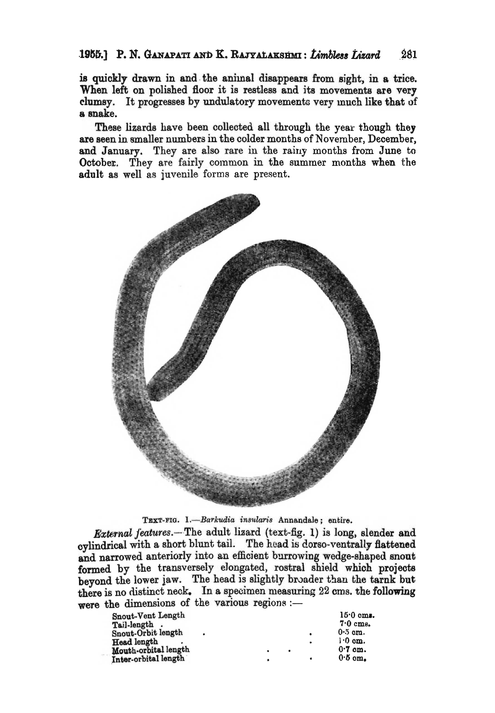#### 1955.] P. N. GANAPATI AND K. RAJYALAKSHMI: Limbless Lizard 281

is quickly drawn in and the animal disappears from sight, in a trice. When left on polished floor it is restless and its movements are very clumsy. It progresses by undulatory movements very much like that of a snake.

These lizards have been collected all through the year though they are seen in smaller numbers in the colder months of November, December, and January. They are also rare in the rainy months from June to October. They are fairly common in the summer months when the adult as well as juvenile forms are present.



TEXT-FIG. 1.-Barkudia insularis Annandale; entire.

External features.- The adult lizard (text-fig. 1) is long, slender and cylindrical with a short blunt tail. The head is dorso-ventrally flattened and narrowed anteriorly into an efficient burrowing wedge-shaped snout formed by the transversely elongated, rostral shield which projects beyond the lower jaw. The head is slightly broader than the tarnk but there is no distinct neck. In a specimen measuring 22 cms. the following were the dimensions of the various regions :-

| Snout-Vent Length<br>Tail-length.<br>Snout-Orbit length<br>Head length<br>Mouth-orbital length | ٠ | $\bullet$ | ٠ | $15.0 \text{ cm}.$<br>$7.0 \text{ cm}.$<br>$0.5$ om.<br>$\cdot 0$ om.<br>$0.7$ cm. |
|------------------------------------------------------------------------------------------------|---|-----------|---|------------------------------------------------------------------------------------|
| Inter-orbital length                                                                           |   |           |   | $0.5$ om.                                                                          |
|                                                                                                |   |           |   |                                                                                    |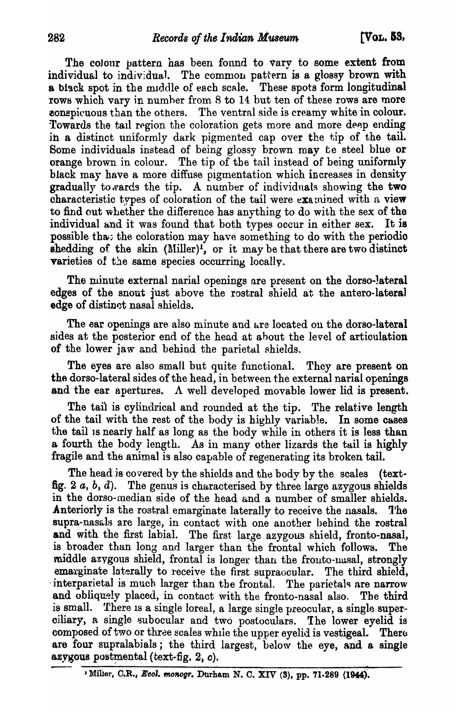The colour pattern has been found to vary to some extent from individual to individual. The common pattern is a glossy brown with a biack spot in the muddle of each scale. These spots form longitudinal rows which vary in numher from 8 to 14 but ten of these rows are more **EXECUTE: EXECUTE:** The ventral side is creamy white in colour. Towards the tail region the coloration gets more and more deep ending in a distinct uniformly dark pigmented cap over the tip of the tail. Some individuals instead of being glossy brown may te steel blue or orange brown in colour. The tip of the tail instead of being uniformly black may have a more diffuse pigmentation which increases in density gradually towards the tip. A number of individuals showing the two characteristic types of coloration of the tail were  $exa$  mined with a view to find out whether the difference has anything to do with the sex of the individual and it was found that both types occur in either sex. It is possible that the coloration may have something to do with the periodic shedding of the skin  $(M\text{-}\text{iller})^1$ , or it may be that there are two distinct varieties of the same species occurring locally.

The minute external narial openings are present on the dorso-lateral edges of the snout just above the rostral shield at the antero-lateral edge of distinct nasal shields.

The ear openings are also minute and are located on the dorso-lateral sides at the posterior end of the head at ahout the level of articulation of the lower jaw and behind the parietal shields.

The eyes are also small but quite functional. They are present on the dorso-Iateral sides of the head, in between the external narial openings and the ear apertures. A well developed movable lower lid is present.

The tail is cylindrical and rounded at the tip. The relative length of the tail with the rest of the body is highly variable. In some cases the tail is nearly half as long as the body while in others it is less than a fourth the body length. As in many other lizards the tail is highly fragile and the animal is also capable of regenerating its broken tail.

The head is covered by the shields and the body by the scales (textfig.  $2 \, a, b, d$ ). The genus is characterised by three large azygous shields in the dorso-median side of the head and a number of smaller shields. Anteriorly is the rostral emarginate laterally to receive the nasals. The supra-nasals are large, in contact with one another behind the rostral and with the first labial. The first large azygous shield, fronto-nasal, is broader than long and larger than the frontal which follows. The middle azygous shield, frontal is longer than the fronto-uusal, strongly emarginate laterally to receive the first supraccular. The third shield, interparietal is much larger than the frontal. The parietals are narrow and obliquely placed, in contact with the fronto-nasal also. The third is small. There is a single loreal, a large single preocular, a single superoiliary, a single 8ubocular and two postoculars. The lower eyelid is composed of two or three scales while the upper eyelid is vestigeal. There are four supralabials; the third largest, below the eye, and a single azygous postmental (text-fig.  $2$ , c).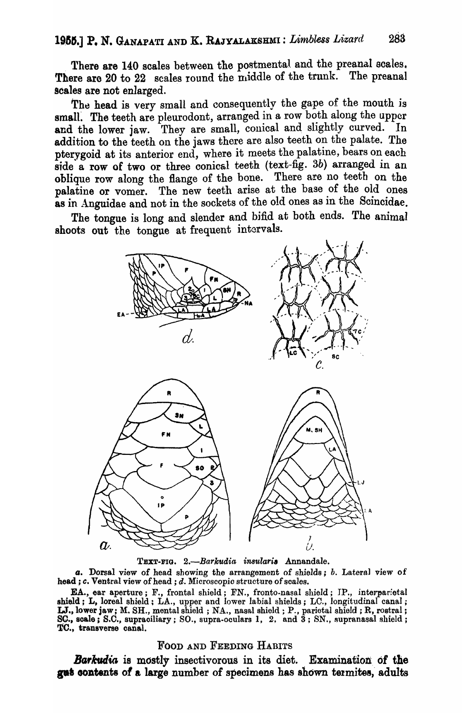There are 140 scales between the postmental and the preanal scales. There are 20 to 22 scales round the middle of the trunk. The preanal scales are not enlarged.

The head is very small and consequently the gape of the mouth is small. The teeth are pleurodont, arranged in a row both along the upper and the lower jaw. They are small, conical and slightly curved. In addition to the teeth on the jaws there are also teeth on the palate. The pterygoid at its anterior end, where it meets the palatine, bears on each side a row of two or three conical teeth (text-fig. 3b) arranged in an oblique row along the flange of the bone. There are no teeth on the palatine or vomer. The new teeth arise at the base of the old ones as in Anguidae and not in the sockets of the old ones as in the Scincidae.

The tongue is long and slender and bifid at both ends. The animal shoots out the tongue at frequent intervals.



TEXT-FIG. 2.-Barkudia insularis Annandale.

*a.* Dorsal view of head showing the arrangement of shields; *h.* Latera] view of head; *c.* Ventral view of head; *d.* Microscopic structure of scales.

EA., ear aperture; F., frontal shield; FN., fronto-nasal shield; IP., interparietal shield; L, loreal shield; LA., upper and lower labial shields; LC., longitudinal canal; LT., lower jaw; M. SH., mental shield; NA., nasal shield; P., parietal shield; R, rostral; SC., scale; S.C., supraciliary; SO., supra-oculars 1, 2, and  $3$ ; SN., supranasal shield; TC., transverse canal.

### FOOD AND FEEDING HABITS

**Barkudia** is mostly insectivorous in its diet. Examination of the gust contents of a large number of specimens has shown termites, adults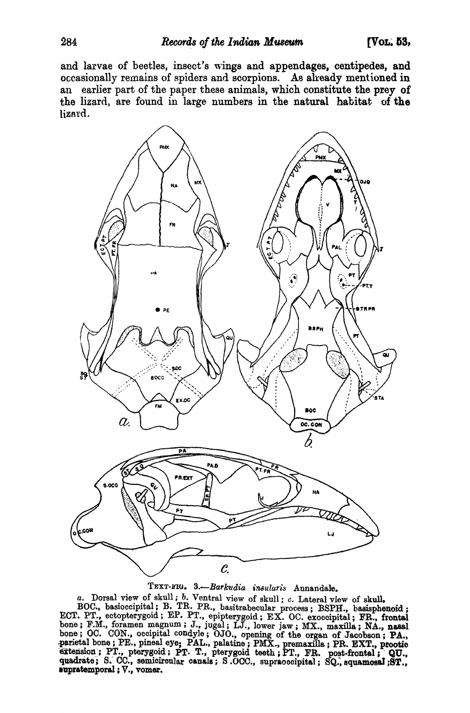and larvae of beetles, insect's wings and appendages, centipedes, and occasionally remains of spiders and scorpions. As already mentioned in an earlier part of the paper these animals, which constitute the prey of the lizard, are found in large numbers in the natural habitat of the lizard.



TEXT-FIG. 3 .- Barkudia insularis Annandale.

a. Dorsal view of skull; b. Ventral view of skull; c. Lateral view of skull.

BOC., basioccipital; B. TR. PR., basitrabecular process; BSPH., basisphenoid; ECT. PT., ectopterygoid; EP. PT., epipterygoid; EX. OC. exoccipital; FR., frontal ECI. F1., ecoopterygond; E1. F1., epipterygond; EX. OC. exoccipital; FR., frontal<br>bone; F.M., foramen magnum; J., jugal; LJ., lower jaw; MX., maxilla; NA., nasal<br>bone; OC. CON., occipital condyle; OJO., opening of the orga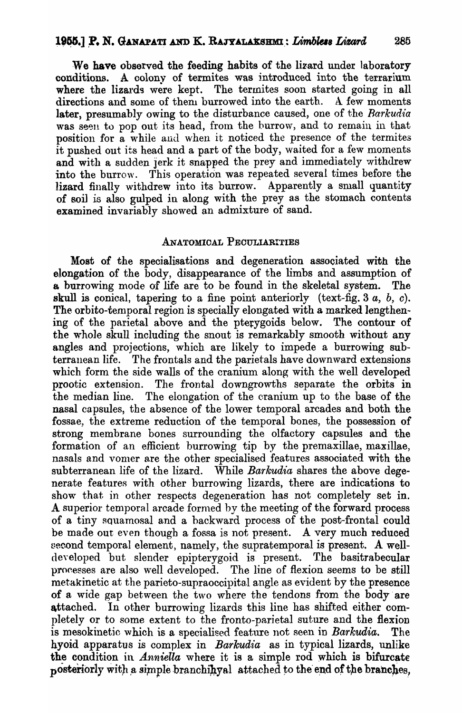We have observed the feeding habits of the lizard under laboratory conditions. A colony of termites was introduced into the terrarium where the lizards were kept. The termites soon started going in all directions and some of them burrowed into the earth. A few moments later, presumably owing to the disturbance caused, one of the *Barkudia*  was seen to pop out its head, from the burrow, and to remain in that position for a while and when it noticed the presence of the termites it pushed out its head and a part of the body, waited for a few moments and with a sudden jerk it snapped the prey and immediately withdrew into the burrow. This operation was repeated several times before the lizard finally withdrew into its burrow. Apparently a small quantity of soil is also gulped in along with the prey as the stomach contents examined invariably showed an admixture of sand.

# ANATOMICAL PECULIARITIES

Most of the specialisations and degeneration associated with the elongation of the body, disappearance of the limbs and assumption of a burrowing mode of life are to be found in the skeletal system. The skull is conical, tapering to a fine point anteriorly (text-fig.  $3a, b, c$ ). The orbito-temporal region is specially elongated with a marked lengthening of the parietal above and the pterygoids below. The contour of the whole skull including the snout is remarkably smooth. without any angles and projections, which are likely to impede a burrowing subterranean life. The frontals and the parietals have downward extensions which form the side walls of the cranium along with the well developed prootic extension. The frontal downgrowths separate the orbits in the median line. The elongation of the eranium up to the base of the nasal capsules, the absence of the lower temporal arcades and both the fossae, the extreme reduction of the temporal bones, the possession of strong membrane bones surrounding the olfactory capsules and the formation of an efficient burrowing tip by the premaxillae, maxillae, nasals and vomer are the other specialised features associated with the subterranean life of the lizard. While *Barkudia* shares the above degenerate features with other burrowing lizards, there are indications to show that in other respects degeneration has not completely set in. A superior temporal arcade formed by the meeting of the forward process of a tiny squamosal and a backward process of the post-frontal could be made out even though a fossa is not present. A very much reduced second temporal element, namely, the supratemporal is present. A welldeyeloped but slender epipterygoid is present. The basitrabecular processes are also well developed. The line of flexion seems to be still metakinetic at the parieto-supraoccipital angle as evident by the presence of a wide gap between the two where the tendons from the body are attached. In other burrowing lizards this line has shifted either completely or to some extent to the fronto-parietal suture and the flexion is mesokinetic which is a specialised feature not seen in *Barkudia.* The hyoid apparatus is complex in *Barkudia* as in typical lizards, unlike the condition in *Anniella* where it is a simple rod which is bifurcate posteriorly with a simple branchip  $q_a$  attached to the end of the branches.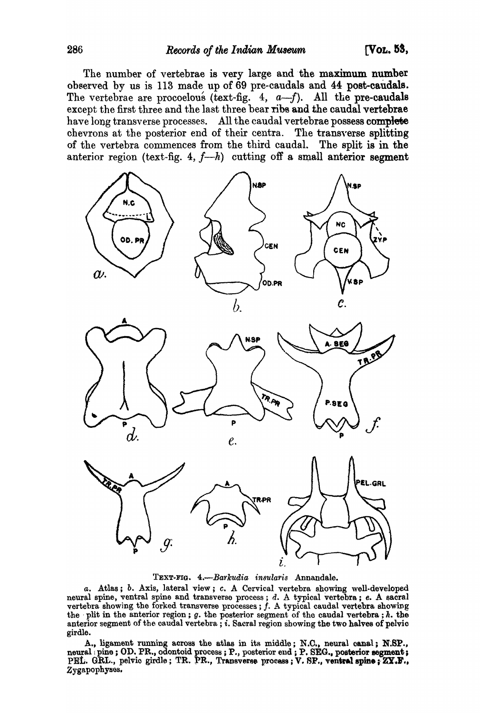The number of vertebrae is very large and the maximum number observed by us is 113 made up of 69 pre-caudals and 44 post-caudale. The vertebrae are procoelous (text-fig.  $4, a-f$ ). All the pre-caudals except the first three and the last three bear ribs and the caudal vertebrae have long transverse processes. All the caudal vertebrae possess complete chevrons at the posterior end of their centra. The transyerse splitting of the vertebra commences from the third caudaL The split is in the anterior region (text-fig. 4,  $f-h$ ) cutting off a small anterior segment







TEXT-FIG. 4.-Barkudia insularis Annandale.

*a.* Atlas; *b. Axis, lateral view*; *c. A Cervical vertebra showing well-developed* neural spine, ventral spine and transverse process; d. A typical vertebra; e. A sacral vertebra showing the forked transverse processes;  $f$ . A typical caudal vertebra showing the plit in the anterior region;  $g$ . the posterior segment of the caudal vertebra;  $h$ . the anterior segment of the caudal vertebra; i. Sacral region showing the two halves of pelvic girdle.

A., ligament running across the atlas in its middle; N.C., neural canal; N.SP., neural pine; OD. PR., odontoid process; P., posterior end; P. SEG., posterior segment; PEL. GRL., pelvio girdle; TR. PR., Transverse process; V. SP., ventral spine; ZY.F., Zygapophyses.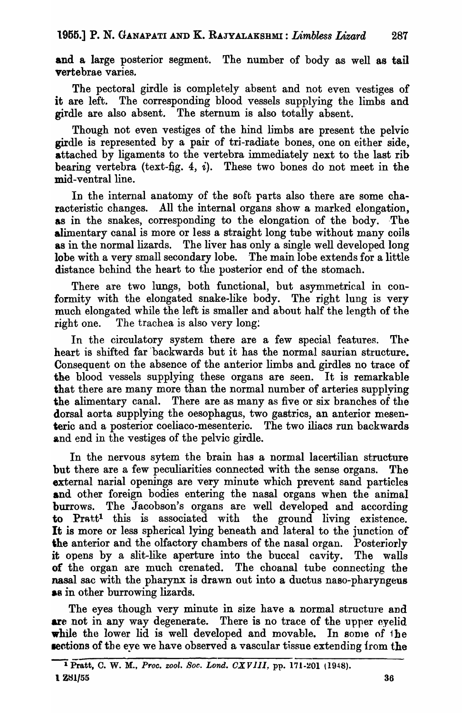and a large posterior segment. The number of body as well as tail vertebrae varies.

The pectoral girdle is completely absent and not even vestiges of it are left. The corresponding blood vessels supplying the limbs and girdle are also absent. The sternum is also totally absent.

Though not even vestiges of the hind limbs are present the pelvic girdle is represented by a pair of tri-radiate bones, one on either side, attached by ligaments to the vertebra immediately next to the last rib bearing vertebra (text-fig. 4,  $i$ ). These two bones do not meet in the mid-ventral line.

In the internal anatomy of the soft parts also there are some characteristic changes. All the internal organs show a marked elongation, as in the snakes, corresponding to the elongation of the body. The alimentary canal is more or less a straight long tube without many coils as in the normal lizards. The liver has only a single well developed long lobe with a very small secondary lobe. The main lobe extends for a little distance behind the heart to the posterior end of the stomach.

There are two lungs, both functional, but asymmetrical in conformity with the elongated snake-like body. The right lung is very much elongated while the left is smaller and about half the length of the right one. The trachea is also very long:

In the circulatory system there are a few special features. The heart is shifted far backwards but it has the normal saurian structure. Consequent on the absence of the anterior limbs and girdles no trace of the blood vessels supplying these organs are seen. It is remarkable that there are many more than the normal number of arteries supplying the alimentary canal. There are as many as five or six branches of the dorsal aorta supplying the oesophagus, two gastrics, an anterior mesenteric and a posterior coeliaco-mesenteric. The two iliacs run backwards and end in the vestiges of the pelvic girdle.

In the nervous sytem the brain has a normal lacertilian structure but there are a few peculiarities connected with the sense organs. The external narial openings are very minute which prevent sand particles and other foreign bodies entering the nasal organs when the animal burrows. The Jacobson's organs are well developed and according to Prattl this is associated with the ground living existence. It is more or less spherical lying beneath and lateral to the junction of the anterior and the olfactory chambers of the nasal organ. Posteriorly it opens by a slit-like aperture into the buccal cavity. The walls of the organ are much crenated. The choanal tube connecting the nasal sac with the pharynx is drawn out into a ductus naso-pharyngeus **as in other burrowing lizards.** 

The eyes though very minute in size have a normal structure and are not in any way degenerate. There is no trace of the upper eyelid while the lower lid is well developed and movable. In some of  $i$  he **sections of the eye we have observed a vascular tissue extending from the**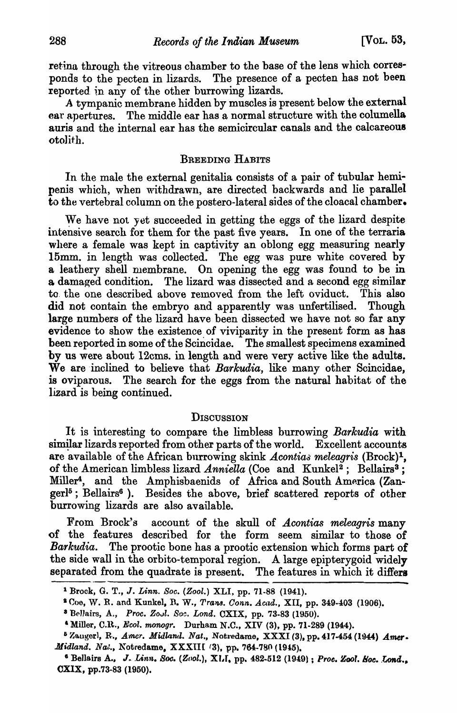retina through the vitreous chamber to the base of the lens which corresponds to the pecten in lizards. The presence of a pecten has not been reported in any of the other burrowing lizards.

A tympanic membrane hidden by muscles is present below the external ear apertures. The middle ear has a normal structure with the columella auris and the internal ear has the semicircular canals and the calcareous otolith.

# BREEDING HABITS

In the male the external genitalia consists of a pair of tubular hemipenis which, when withdrawn, are directed backwards and lie parallel to the vertebral column on the postero-Iateral sides of the cloacal chamber.

We have not yet succeeded in getting the eggs of the lizard despite intensive search for them for the past five years. In one of the terraria where a female was kept in captivity an oblong egg measuring nearly 15mm. in length was collected. The egg was pure white covered by a leathery shell membrane. On opening the egg was found to be in a damaged condition. The lizard was dissected and a second egg similar to. the one described above removed from the left oviduct. This also did not contain the embryo and apparently was unfertilised. Though large numbers of the lizard have been dissected we have not so far any evidence to show the existence of viviparity in the present form as has been reported in some of the Scincidae. The smallest specimens examined by us were about 12cms. in length and were very active like the adults. We are 'inclined to believe that *Barkudia,* like many other Scincidae, is oviparous. The search for the eggs from the natural habitat of the lizard is being continued.

# **DISCUSSION**

It is interesting to compare the limbless burrowing *Barkudia* with similar lizards reported from other parts of the world. Excellent accounts are available of the African burrowing skink *Acontiaa meleagris* (Brock) 1 , of the American limbless lizard *Anniella* (Coe and Kunkel<sup>2</sup>; Bellairs<sup>3</sup>; Miller<sup>4</sup>, and the Amphisbaenids of Africa and South America (Zan $gerl<sup>5</sup>$ ; Bellairs<sup>6</sup>). Besides the above, brief scattered reports of other burrowing lizards are also available.

From Brock's account of the skull of *Acontias meleagris* many of the features described for the form seem similar to those of *Barkudia.* The prootic bone has a prootic extension which forms part of the side wall in the orbito-temporal region. A large epiptery goid widely separated from the quadrate is present. The features in which it differs

<sup>1</sup>Brock, G. T., J. *Linn. Soc. (Zool.)* XLI, pp. 71-88 (1941).

<sup>&</sup>lt;sup>2</sup> Coe, W. R. and Kunkel, R. W., Trans. *Conn. Acad.*, XII, pp. 349-403 (1906).

<sup>&</sup>lt;sup>2</sup> Bellairs, A., *Proc. Zool. Soc. Lond.* CXIX, pp. 73-83 (1950).

<sup>&</sup>lt;sup>4</sup> Miller, C.R., *Ecol. monogr.* Durham N.C., XIV (3), pp. 71-289 (1944).

<sup>&</sup>lt;sup>5</sup> Zangerl, R., *Amer. Midland. Nat.*, Notredame, XXXI (3), pp. 417-454 (1944) *Amer*. *Midland. Nat., Notredame. XXXIII* (3), pp. 764-780 (1945).

<sup>&</sup>lt;sup>6</sup> Bellairs A., J. *Linn. Soc.* (Zool.), XLI, pp. 482-512 (1949) ; *Proe. Zool. Soc. Lond.*. CXlX, pp.73-83 (1950).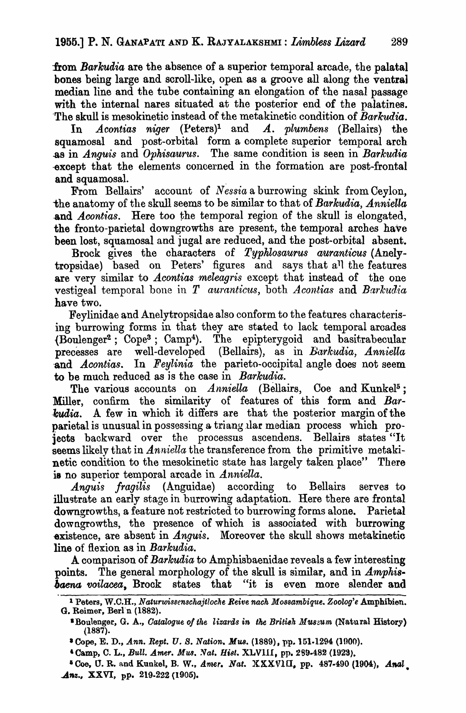from *Barkudia* are the absence of a superior temporal arcade, the palatal bones being large and scroll-like, open as a groove all along the ventra) median line and the tube containing an elongation of the nasal passage with the internal nares situated at the posterior end of the palatines. -The skull is mesokinetic instead of the metakinetic condition of *Baikudia.* 

In *Acontias niger* (Peters)<sup>1</sup> and *A. plumbens* (Bellairs) the squamosal and post-orbital form a complete superior temporal arch .as in *Anguis* and *Ophisaurus.* The. same condition is seen in *Barkudia*  -except that the elements concerned in the formation are post-frontal and squamosal.

From Bellairs' account of *Nessia* a burrowing skink from Ceylon, the anatomy of the skull seems to be similar to that of *Barkudia, Anniella*  and *Acontias*. Here too the temporal region of the skull is elongated, the fronto-parietal downgrowths are present, the temporal arches have been lost, squamosal and jugal are reduced, and the post-orbital absent.

Brock gives the characters of *Typhlosaurus auranticus* (Anelytropsidae) based on Peters' figures and says that all the features are very similar to *Acontias meleagris* except that instead of the one vestigeal temporal bone in *T* auranticus, both *Acontias* and *Barkudia* have two.

Feylinidae and Anelytropsidae also conform to the features characterising burrowing forms in that they are stated to lack temporal arcades {Boulenger2 ; Cope3 ; Camp4). The epipterygoid and basitrabecular precesses are well-developed (Bellairs), as in *Barkudia, Anniella* and *Acontias*. In *Feylinia* the parieto-occipital angle does not seem to be much reduced as is the case in *Barkudia.* 

The various accounts on *Anniella* (Bellairs, Coe and Kunkel<sup>5</sup>; Miller, confirm the similarity of features of this form and *Bar kudia.* A few in which it differs are that the posterior margin of the parietal is unusual in possessing a triang lar median process which projects backward over the processus ascendens. Bellairs states "It seems likely that in *Anniella* the transference from the primitive metakinetic condition to the mesokinetic state has largely taken place" There is no superior temporal arcade in *Anniella.* 

*Anguis fragilis* (Anguidae) according to Bellairs serves to illustrate an early stage in burrowing adaptation. Here there are frontal downgrowths, a feature not restricted to burrowing forms alone. Parietal downgrowths, the presence of which is associated with burrowing existence, are absent in *Anguis*. Moreover the skull shows metakinetic line of flexion as in *Barkudia.* 

A comparison of *Barkudia* to Amphisbaenidae reveals a few interesting points. The general morphology of the skull is similar, and in *Amphisbaena voilacea*, Brock states that "it is even more slender and

<sup>&</sup>lt;sup>1</sup> Peters, W.C.H., *Naturwissenschajtloche Reive nach Mossambique*. Zoolog'e Amphibien. G. Reimer, Berln (1882) .

<sup>&</sup>lt;sup>\*</sup>Boulenger, G. A., *Catalogue of the lizards in the British Muszum* (Natural History) (1887).

<sup>&</sup>lt;sup>3</sup> Cope, E. D., Ann. Rept. U. S. Nation. Mus. (1889), pp. 151-1294 (1900).

<sup>&</sup>lt;sup>4</sup> Camp, C. L., *Bull. Amer. Mus. Nat. Hist. XLVIII*, pp. 289-482 (1923).

<sup>&</sup>lt;sup>5</sup> Coe, U. R. and Kunkel, B. W., Amer. Nat.  $\text{XXXVIII}$ , pp. 487-490 (1904), *Anal*  $\Delta$ nz., XXVI, pp. 219-222 (1905).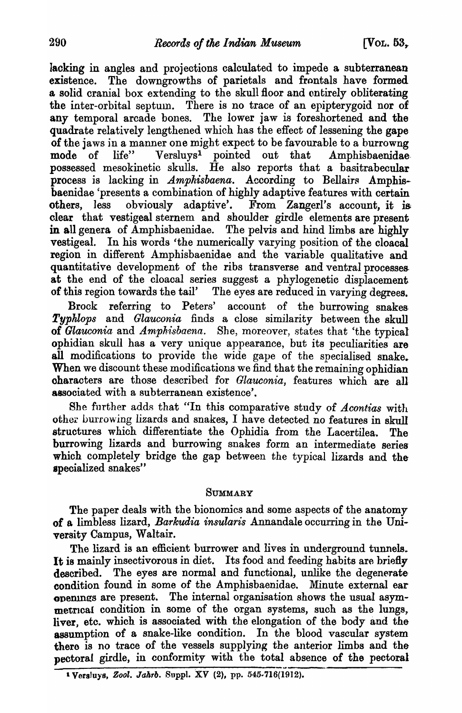lacking in angles and projections calculated to impede a subterranean existence. The downgrowths of parietals and frontals have formed a solid cranial box extending to the skull floor and entirely obliterating the inter-orbital septum. There is no trace of an epipterygoid nor of any temporal arcade bones. The lower jaw is foreshortened and the quadrate relatively lengthened which has the effect of lessening the gape of the jaws in a manner one might expect to be favourable to a burrowng<br>mode of life" Versluys<sup>1</sup> pointed out that Amphisbaenidae mode of life" Versluys<sup>1</sup> pointed out that Amphisbaenidae possessed mesokinetic skulls. He also reports that a basitrabecular process is lacking in *Amphisbaena.* According to Bellairs Amphisbaenidae 'presents a combination of highly adaptive features with certain others, less obviously adaptive'. From ZangerI's account, it is clear that vestigeal sternem and shoulder girdle elements are present in all genera of Amphisbaenidae. The pelvis and hind limbs are highly vestigeal. In his words 'the numerically varying position of the cloacal region in different Amphisbaenidae and the variable qualitative and quantitative development of the ribs transverse and ventral processes. at the end of the cloacal series suggest a phylogenetic displacement of this region towards the tail' The eyes are reduced in varying degrees.

Brock referring to Peters' account of the burrowing snakes-*Typklops* and *Glauconia* finds a close similarity between the skull of *Glauconia* and *Amphisbaena*. She, moreover, states that 'the typical ophidian skull has a very unique appearance, but its peculiarities are all modifications to provide the wide gape of the specialised snake. When we discount these modifications we find that the remaining ophidian oharacters are those described for *Glauconia,* features which are all associated with a subterranean existence'.

She further adds that "In this comparative study of *Acontias* with other burrowing lizards and snakes, I have detected no features in skull structures which differentiate the Ophidia from the Lacertilea. The burrowing lizards and burrowing snakes form an intermediate serieswhich completely bridge the gap between the typical lizards and the specialized snakes"

# **SUMMARY**

The paper deals with the bionomics and some aspects of the anatomy of a limbless lizard, *Barkudia insularis* Annandale occurring in the University Campus, Waltair.

The lizard is an efficient burrower and lives in underground tunnels. It is mainly insectivorous in diet. Its food and feeding habits are briefly described. The eyes are normal and functional, unlike the degenerate condition found in some of the Amphisbaenidae. Minute external ear openings are present. The internal organisation shows the usual asymmetrical condition in some of the organ systems, such as the lungs, liver, etc. which is associated with the elongation of the body and the assumption of a snake-like condition. In the blood vascular system there is no trace of the vessels supplying the anterior limbs and the pectoral girdle, in conformity with the total absence of the pectoral